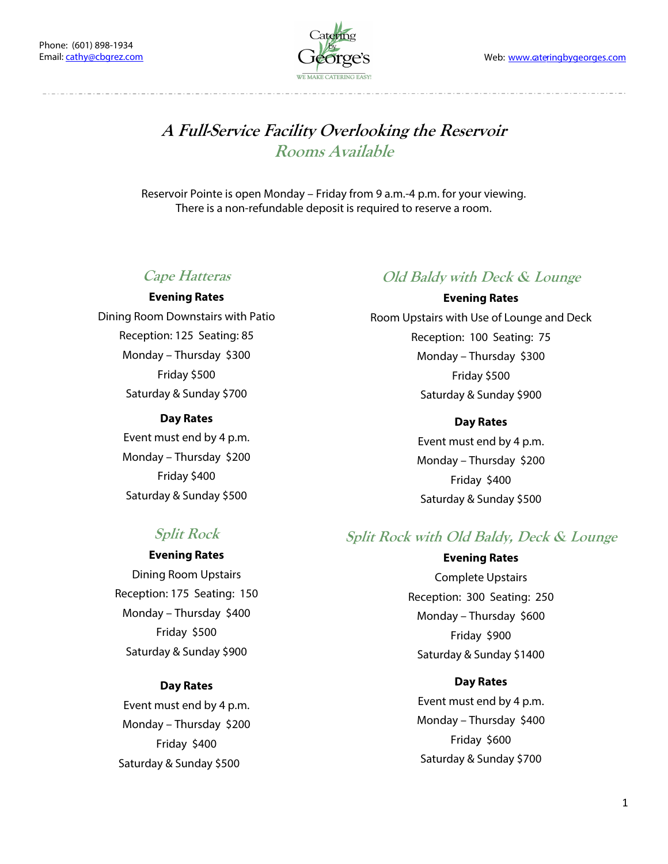

## **A Full-Service Facility Overlooking the Reservoir Rooms Available**

Reservoir Pointe is open Monday – Friday from 9 a.m.-4 p.m. for your viewing. There is a non-refundable deposit is required to reserve a room.

### **Cape Hatteras**

#### **Evening Rates**

Dining Room Downstairs with Patio Reception: 125 Seating: 85 Monday – Thursday \$300 Friday \$500 Saturday & Sunday \$700

#### **Day Rates**

Event must end by 4 p.m. Monday – Thursday \$200 Friday \$400 Saturday & Sunday \$500

### **Old Baldy with Deck & Lounge**

**Evening Rates**  Room Upstairs with Use of Lounge and Deck Reception: 100 Seating: 75 Monday – Thursday \$300 Friday \$500 Saturday & Sunday \$900

> **Day Rates**  Event must end by 4 p.m. Monday – Thursday \$200 Friday \$400 Saturday & Sunday \$500

### **Split Rock**

**Evening Rates**  Dining Room Upstairs Reception: 175 Seating: 150 Monday – Thursday \$400

Friday \$500 Saturday & Sunday \$900

### **Day Rates**

Event must end by 4 p.m. Monday – Thursday \$200 Friday \$400 Saturday & Sunday \$500

## **Split Rock with Old Baldy, Deck & Lounge**

**Evening Rates**  Complete Upstairs Reception: 300 Seating: 250 Monday – Thursday \$600 Friday \$900 Saturday & Sunday \$1400

### **Day Rates**

Event must end by 4 p.m. Monday – Thursday \$400 Friday \$600 Saturday & Sunday \$700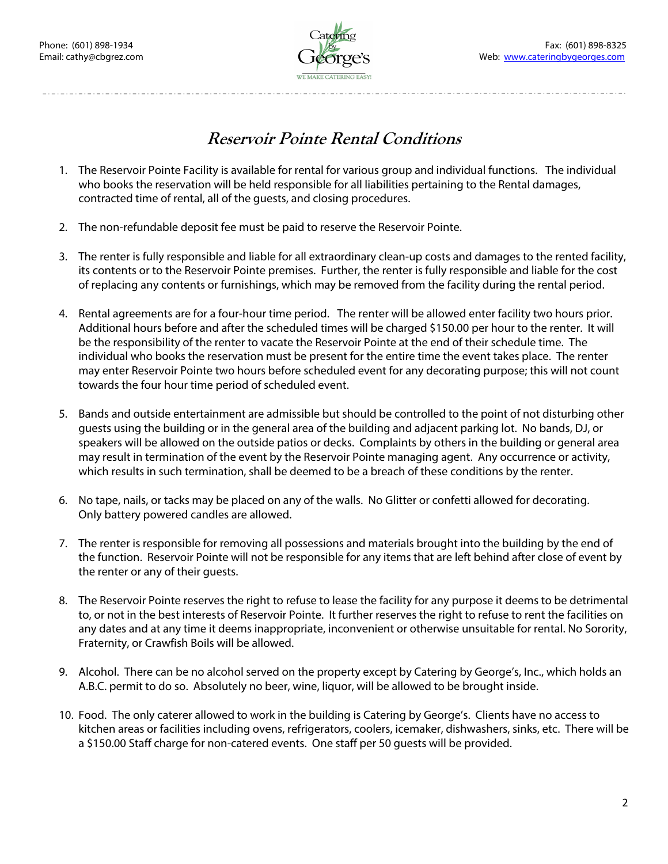

# **Reservoir Pointe Rental Conditions**

- 1. The Reservoir Pointe Facility is available for rental for various group and individual functions. The individual who books the reservation will be held responsible for all liabilities pertaining to the Rental damages, contracted time of rental, all of the guests, and closing procedures.
- 2. The non-refundable deposit fee must be paid to reserve the Reservoir Pointe.
- 3. The renter is fully responsible and liable for all extraordinary clean-up costs and damages to the rented facility, its contents or to the Reservoir Pointe premises. Further, the renter is fully responsible and liable for the cost of replacing any contents or furnishings, which may be removed from the facility during the rental period.
- 4. Rental agreements are for a four-hour time period. The renter will be allowed enter facility two hours prior. Additional hours before and after the scheduled times will be charged \$150.00 per hour to the renter. It will be the responsibility of the renter to vacate the Reservoir Pointe at the end of their schedule time. The individual who books the reservation must be present for the entire time the event takes place. The renter may enter Reservoir Pointe two hours before scheduled event for any decorating purpose; this will not count towards the four hour time period of scheduled event.
- 5. Bands and outside entertainment are admissible but should be controlled to the point of not disturbing other guests using the building or in the general area of the building and adjacent parking lot. No bands, DJ, or speakers will be allowed on the outside patios or decks. Complaints by others in the building or general area may result in termination of the event by the Reservoir Pointe managing agent. Any occurrence or activity, which results in such termination, shall be deemed to be a breach of these conditions by the renter.
- 6. No tape, nails, or tacks may be placed on any of the walls. No Glitter or confetti allowed for decorating. Only battery powered candles are allowed.
- 7. The renter is responsible for removing all possessions and materials brought into the building by the end of the function. Reservoir Pointe will not be responsible for any items that are left behind after close of event by the renter or any of their guests.
- 8. The Reservoir Pointe reserves the right to refuse to lease the facility for any purpose it deems to be detrimental to, or not in the best interests of Reservoir Pointe. It further reserves the right to refuse to rent the facilities on any dates and at any time it deems inappropriate, inconvenient or otherwise unsuitable for rental. No Sorority, Fraternity, or Crawfish Boils will be allowed.
- 9. Alcohol. There can be no alcohol served on the property except by Catering by George's, Inc., which holds an A.B.C. permit to do so. Absolutely no beer, wine, liquor, will be allowed to be brought inside.
- 10. Food. The only caterer allowed to work in the building is Catering by George's. Clients have no access to kitchen areas or facilities including ovens, refrigerators, coolers, icemaker, dishwashers, sinks, etc. There will be a \$150.00 Staff charge for non-catered events. One staff per 50 guests will be provided.